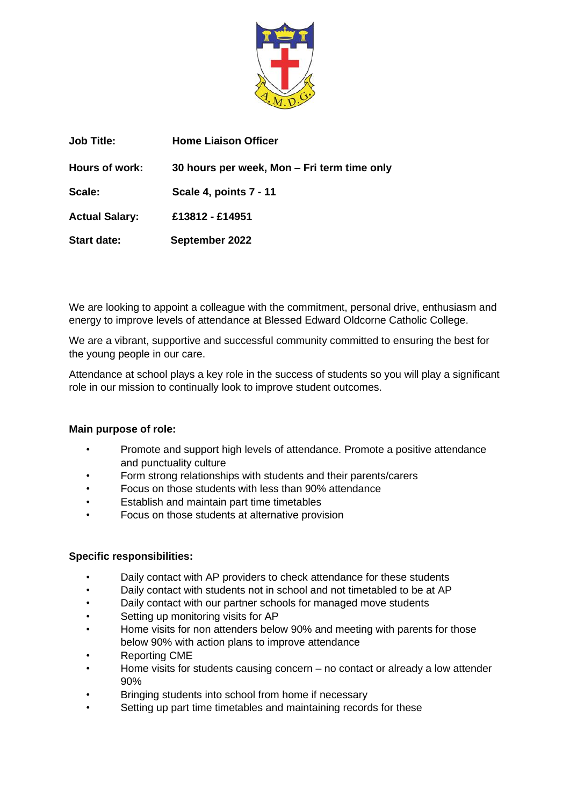

| <b>Job Title:</b>     | <b>Home Liaison Officer</b>                 |
|-----------------------|---------------------------------------------|
| Hours of work:        | 30 hours per week, Mon – Fri term time only |
| Scale:                | Scale 4, points 7 - 11                      |
| <b>Actual Salary:</b> | £13812 - £14951                             |
| <b>Start date:</b>    | September 2022                              |

We are looking to appoint a colleague with the commitment, personal drive, enthusiasm and energy to improve levels of attendance at Blessed Edward Oldcorne Catholic College.

We are a vibrant, supportive and successful community committed to ensuring the best for the young people in our care.

Attendance at school plays a key role in the success of students so you will play a significant role in our mission to continually look to improve student outcomes.

## **Main purpose of role:**

- Promote and support high levels of attendance. Promote a positive attendance and punctuality culture
- Form strong relationships with students and their parents/carers
- Focus on those students with less than 90% attendance
- Establish and maintain part time timetables
- Focus on those students at alternative provision

## **Specific responsibilities:**

- Daily contact with AP providers to check attendance for these students
- Daily contact with students not in school and not timetabled to be at AP
- Daily contact with our partner schools for managed move students
- Setting up monitoring visits for AP
- Home visits for non attenders below 90% and meeting with parents for those below 90% with action plans to improve attendance
- Reporting CME
- Home visits for students causing concern no contact or already a low attender 90%
- Bringing students into school from home if necessary
- Setting up part time timetables and maintaining records for these